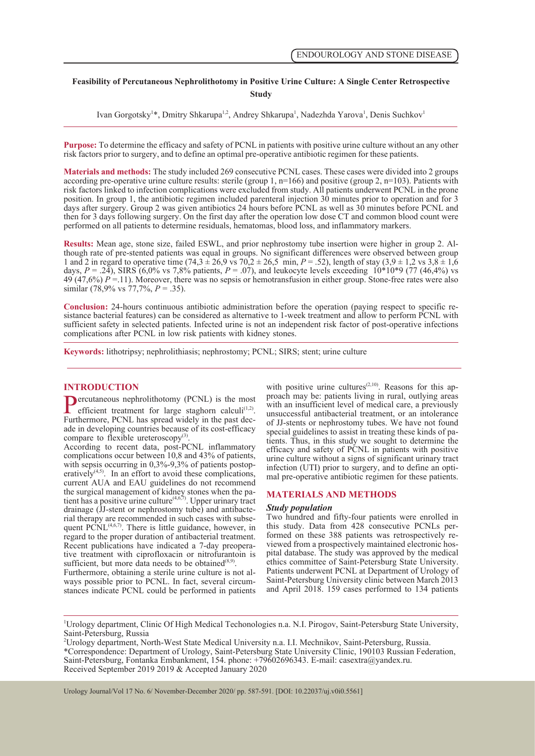# **Feasibility of Percutaneous Nephrolithotomy in Positive Urine Culture: A Single Center Retrospective Study**

Ivan Gorgotsky<sup>1\*</sup>, Dmitry Shkarupa<sup>1,2</sup>, Andrey Shkarupa<sup>1</sup>, Nadezhda Yarova<sup>1</sup>, Denis Suchkov<sup>1</sup>

**Purpose:** To determine the efficacy and safety of PCNL in patients with positive urine culture without an any other risk factors prior to surgery, and to define an optimal pre-operative antibiotic regimen for these patients.

**Materials and methods:** The study included 269 consecutive PCNL cases. These cases were divided into 2 groups according pre-operative urine culture results: sterile (group 1,  $n=166$ ) and positive (group 2,  $n=103$ ). Patients with risk factors linked to infection complications were excluded from study. All patients underwent PCNL in the prone position. In group 1, the antibiotic regimen included parenteral injection 30 minutes prior to operation and for 3 days after surgery. Group 2 was given antibiotics 24 hours before PCNL as well as 30 minutes before PCNL and then for 3 days following surgery. On the first day after the operation low dose CT and common blood count were performed on all patients to determine residuals, hematomas, blood loss, and inflammatory markers.

**Results:** Mean age, stone size, failed ESWL, and prior nephrostomy tube insertion were higher in group 2. Although rate of pre-stented patients was equal in groups. No significant differences were observed between group 1 and 2 in regard to operative time  $(74,3 \pm 26,9 \text{ vs } 70,2 \pm 26,5 \text{ min}, P = .52)$ , length of stay  $(3,9 \pm 1,2 \text{ vs } 3,8 \pm 1,6 \text{ s})$ days,  $P = .24$ ), SIRS (6,0% vs 7,8% patients,  $P = .07$ ), and leukocyte levels exceeding 10\*10\*9 (77 (46,4%) vs 49 (47,6%) *P* =.11). Moreover, there was no sepsis or hemotransfusion in either group. Stone-free rates were also similar (78,9% vs 77,7%, *P* = .35).

**Conclusion:** 24-hours continuous antibiotic administration before the operation (paying respect to specific resistance bacterial features) can be considered as alternative to 1-week treatment and allow to perform PCNL wit sufficient safety in selected patients. Infected urine is not an independent risk factor of post-operative infections complications after PCNL in low risk patients with kidney stones.

**Keywords:** lithotripsy; nephrolithiasis; nephrostomy; PCNL; SIRS; stent; urine culture

## **INTRODUCTION**

**Percutaneous nephrolithotomy (PCNL) is the most efficient treatment for large staghorn calculi<sup>(1,2)</sup>. Furthermore, PCNL has spread widely in the past decade in developing countries because of its cost-efficacy** Furthermore, PCNL has spread widely in the past dec-<br>ade in developing countries because of its cost-efficacy<br>compare to flexible ureteroscopy<sup>(3)</sup>.

According to recent data, post-PCNL inflammatory complications occur between 10,8 and 43% of patients, with sepsis occurring in 0,3%-9,3% of patients postoperatively<sup> $(4,5)$ </sup>. In an effort to avoid these complications, current AUA and EAU guidelines do not recommend the surgical management of kidney stones when the patient has a positive urine culture<sup> $(4,6,7)$ </sup>. Upper urinary tract drainage (JJ-stent or nephrostomy tube) and antibacterial therapy are recommended in such cases with subsequent  $PCNL^{(4,6,7)}$ . There is little guidance, however, in regard to the proper duration of antibacterial treatment.<br>Recent publications have indicated a 7-day preoperative treatment with ciprofloxacin or nitrofurantoin is sufficient, but more data needs to be obtained<sup>(8,9)</sup>.

Furthermore, obtaining a sterile urine culture is not al-<br>ways possible prior to PCNL. In fact, several circum-<br>stances indicate PCNL could be performed in patients

with positive urine cultures<sup> $(2,10)$ </sup>. Reasons for this approach may be: patients living in rural, outlying areas with an insufficient level of medical care, a previously unsuccessful antibacterial treatment, or an intolerance of JJ-stents or nephrostomy tubes. We have not found special guidelines to assist in treating these kinds of patients. Thus, in this study we sought to determine the efficacy and safety of PCNL in patients with positive urine culture without a signs of significant urinary tract mal pre-operative antibiotic regimen for these patients.

## **MATERIALS AND METHODS**

#### *Study population*

Two hundred and fifty-four patients were enrolled in formed on these 388 patients was retrospectively reviewed from a prospectively maintained electronic hos-<br>pital database. The study was approved by the medical ethics committee of Saint-Petersburg State University. Patients underwent PCNL at Department of Urology of Saint-Petersburg University clinic between March 2013 and April 2018. 159 cases performed to 134 patients

1 Urology department, Clinic Of High Medical Techonologies n.a. N.I. Pirogov, Saint-Petersburg State University, Saint-Petersburg, Russia

Urology Journal/Vol 17 No. 6/ November-December 2020/ pp. 587-591. [DOI: 10.22037/uj.v0i0.5561]

<sup>2</sup> Urology department, North-West State Medical University n.a. I.I. Mechnikov, Saint-Petersburg, Russia. \*Correspondence: Department of Urology, Saint-Petersburg State University Clinic, 190103 Russian Federation, Saint-Petersburg, Fontanka Embankment, 154. phone: +79602696343. E-mail: casextra@yandex.ru. Received September 2019 2019 & Accepted January 2020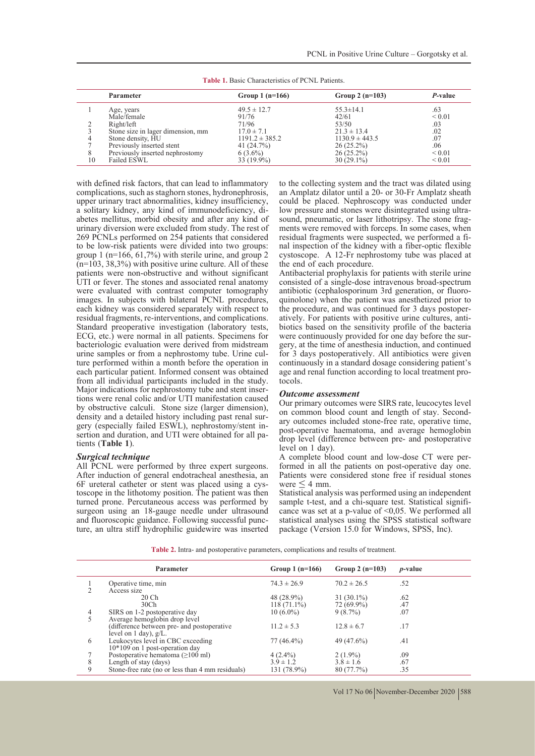|    | Parameter                         | Group 1 $(n=166)$  | Group $2(n=103)$   | P-value     |
|----|-----------------------------------|--------------------|--------------------|-------------|
|    | Age, years                        | $49.5 \pm 12.7$    | $55.3 \pm 14.1$    | .63         |
|    | Male/female                       | 91/76              | 42/61              | ${}_{0.01}$ |
|    | Right/left                        | 71/96              | 53/50              | .03         |
|    | Stone size in lager dimension, mm | $17.0 \pm 7.1$     | $21.3 \pm 13.4$    | .02         |
|    | Stone density, HU                 | $1191.2 \pm 385.2$ | $1130.9 \pm 443.5$ | .07         |
|    | Previously inserted stent         | 41 (24.7%)         | $26(25.2\%)$       | .06         |
| 8  | Previously inserted nephrostomy   | $6(3.6\%)$         | $26(25.2\%)$       | ${}_{0.01}$ |
| 10 | Failed ESWL                       | 33 (19.9%)         | $30(29.1\%)$       | ${}_{0.01}$ |

**Table 1.** Basic Characteristics of PCNL Patients.

with defined risk factors, that can lead to inflammatory complications, such as staghorn stones, hydronephrosis, upper urinary tract abnormalities, kidney insufficiency, a solitary kidney, any kind of immunodeficiency, di- abetes mellitus, morbid obesity and after any kind of urinary diversion were excluded from study. The rest of 269 PCNLs performed on 254 patients that considered to be low-risk patients were divided into two groups: group 1 ( $n=166$ , 61,7%) with sterile urine, and group 2  $(n=103, 38, 3\%)$  with positive urine culture. All of these patients were non-obstructive and without significant UTI or fever. The stones and associated renal anatomy were evaluated with contrast computer tomography images. In subjects with bilateral PCNL procedures, each kidney was considered separately with respect to residual fragments, re-interventions, and complications. Standard preoperative investigation (laboratory tests, ECG, etc.) were normal in all patients. Specimens for bacteriologic evaluation were derived from midstream ture performed within a month before the operation in each particular patient. Informed consent was obtained from all individual participants included in the study.<br>Major indications for nephrostomy tube and stent insertions were renal colic and/or UTI manifestation caused by obstructive calculi. Stone size (larger dimension), density and a detailed history including past renal surgery (especially failed ESWL), nephrostomy/stent insertion and duration, and UTI were obtained for all patients (**Table 1**).

### *Surgical technique*

All PCNL were performed by three expert surgeons. After induction of general endotracheal anesthesia, an 6F ureteral catheter or stent was placed using a cys- toscope in the lithotomy position. The patient was then turned prone. Percutaneous access was performed by surgeon using an 18-gauge needle under ultrasound and fluoroscopic guidance. Following successful puncture, an ultra stiff hydrophilic guidewire was inserted to the collecting system and the tract was dilated using an Amplatz dilator until a 20- or 30-Fr Amplatz sheath could be placed. Nephroscopy was conducted under low pressure and stones were disintegrated using ultra-<br>sound, pneumatic, or laser lithotripsy. The stone frag-<br>ments were removed with forceps. In some cases, when<br>residual fragments were suspected, we performed a final inspection of the kidney with a fiber-optic flexible cystoscope. A 12-Fr nephrostomy tube was placed at the end of each procedure.

Antibacterial prophylaxis for patients with sterile urine consisted of a single-dose intravenous broad-spectrum<br>antibiotic (cephalosporinum 3rd generation, or fluoroquinolone) when the patient was anesthetized prior to the procedure, and was continued for 3 days postoperatively. For patients with positive urine cultures, anti-<br>biotics based on the sensitivity profile of the bacteria<br>were continuously provided for one day before the surgery, at the time of anesthesia induction, and continued for 3 days postoperatively. All antibiotics were given continuously in a standard dosage considering patient's age and renal function according to local treatment pro- tocols.

#### *Outcome assessment*

Our primary outcomes were SIRS rate, leucocytes level on common blood count and length of stay. Second- ary outcomes included stone-free rate, operative time, post-operative haematoma, and average hemoglobin drop level (difference between pre- and postoperative

level on 1 day).<br>A complete blood count and low-dose CT were performed in all the patients on post-operative day one. Patients were considered stone free if residual stones were  $\leq 4$  mm.

Statistical analysis was performed using an independent sample t-test, and a chi-square test. Statistical significance was set at a p-value of  $\leq 0.05$ . We performed all statistical analyses using the SPSS statistical software package (Version 15.0 for Windows, SPSS, Inc).

**Table 2.** Intra- and postoperative parameters, complications and results of treatment.

|   | Parameter                                        | Group $1(n=166)$ | Group $2(n=103)$ | <i>p</i> -value |
|---|--------------------------------------------------|------------------|------------------|-----------------|
|   | Operative time, min                              | $74.3 \pm 26.9$  | $70.2 \pm 26.5$  | .52             |
|   | Access size                                      |                  |                  |                 |
|   | 20 Ch                                            | 48 (28.9%)       | $31(30.1\%)$     | .62             |
|   | 30 <sub>Ch</sub>                                 | $118(71.1\%)$    | $72(69.9\%)$     | .47             |
| 4 | SIRS on 1-2 postoperative day                    | $10(6.0\%)$      | 9(8.7%)          | .07             |
| 5 | Average hemoglobin drop level                    |                  |                  |                 |
|   | (difference between pre- and postoperative       | $11.2 \pm 5.3$   | $12.8 \pm 6.7$   | .17             |
|   | level on $1$ day), $g/L$ .                       |                  |                  |                 |
| 6 | Leukocytes level in CBC exceeding                | 77 (46.4%)       | 49 (47.6%)       | .41             |
|   | $10*109$ on 1 post-operation day                 |                  |                  |                 |
|   | Postoperative hematoma $(\geq 100 \text{ ml})$   | $4(2.4\%)$       | $2(1.9\%)$       | .09             |
| 8 | Length of stay (days)                            | $3.9 \pm 1.2$    | $3.8 \pm 1.6$    | .67             |
| 9 | Stone-free rate (no or less than 4 mm residuals) | 131 (78.9%)      | 80 (77.7%)       | .35             |

Vol 17 No 06 November-December 2020 | 588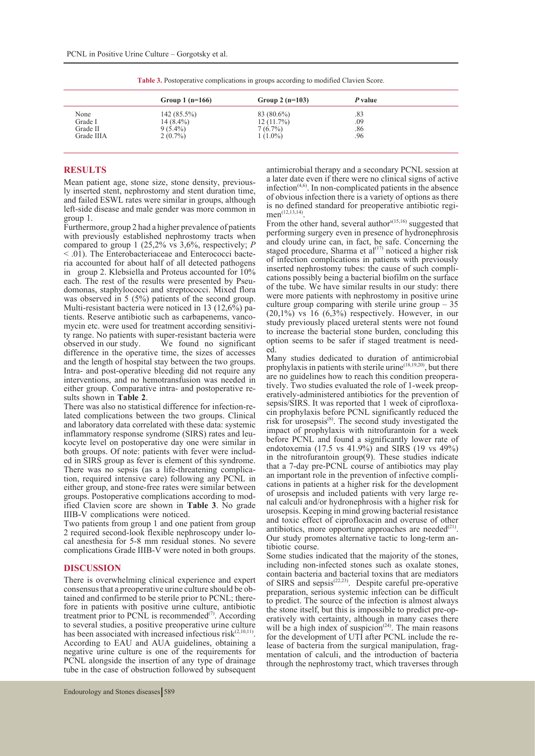|            | Group 1 $(n=166)$ | Group 2 $(n=103)$ | P value |
|------------|-------------------|-------------------|---------|
| None       | $142(85.5\%)$     | 83 (80.6%)        | .83     |
| Grade I    | $14(8.4\%)$       | 12(11.7%)         | .09     |
| Grade II   | $9(5.4\%)$        | 7(6.7%)           | .86     |
| Grade IIIA | $2(0.7\%)$        | $1(1.0\%)$        | .96     |

**Table 3.** Postoperative complications in groups according to modified Clavien Score.

## **RESULTS**

Mean patient age, stone size, stone density, previous- ly inserted stent, nephrostomy and stent duration time, and failed ESWL rates were similar in groups, although left-side disease and male gender was more common in group 1.

Furthermore, group 2 had a higher prevalence of patients with previously established nephrostomy tracts when compared to group 1 (25,2% vs  $3,6\%$ , respectively; *P* < .01). The Enterobacteriaceae and Enterococci bacteria accounted for about half of all detected pathogens in group 2. Klebsiella and Proteus accounted for  $10\%$  each. The rest of the results were presented by Pseudomonas, staphylococci and streptococci. Mixed flora was observed in 5 (5%) patients of the second group.<br>Multi-resistant bacteria were noticed in 13 (12,6%) pamultimeteria were noticely such as carbapenems, vanco-<br>mycin etc. were used for treatment according sensitivi-<br>ty range. No patients with super-resistant bacteria were<br>observed in our study. We found no significant  $\hat{W}$ e found no significant difference in the operative time, the sizes of accesses and the length of hospital stay between the two groups. Intra- and post-operative bleeding did not require any interventions, and no hemotransfusion was needed in either group. Comparative intra- and postoperative re-

exteember of market and postoperative interactive terms also no statistical difference for infection-re-<br>and complications between the two groups. Clinical and laboratory data correlated with these data: systemic inflammatory response syndrome (SIRS) rates and leu- kocyte level on postoperative day one were similar in both groups. Of note: patients with fever were included in SIRS group as fever is element of this syndrome. There was no sepsis (as a life-threatening complica- tion, required intensive care) following any PCNL in either group, and stone-free rates were similar between groups. Postoperative complications according to modified Clavien score are shown in **Table 3**. No grade IIIB-V complications were noticed.

Two patients from group 1 and one patient from group 2 required second-look flexible nephroscopy under lo- cal anesthesia for 5-8 mm residual stones. No severe complications Grade IIIB-V were noted in both groups.

## **DISCUSSION**

There is overwhelming clinical experience and expert consensus that a preoperative urine culture should be ob- tained and confirmed to be sterile prior to PCNL; there- fore in patients with positive urine culture, antibiotic treatment prior to PCNL is recommended<sup>(7)</sup>. According to several studies, a positive preoperative urine culture has been associated with increased infectious  $risk^{(2,10,11)}$ .<br>According to EAU and AUA guidelines, obtaining a negative urine culture is one of the requirements for PCNL alongside the insertion of any type of drainage tube in the case of obstruction followed by subsequent antimicrobial therapy and a secondary PCNL session at a later date even if there were no clinical signs of active  $interior<sub>(4,6)</sub>$ . In non-complicated patients in the absence of obvious infection there is a variety of options as there  $men^{(12,13,14)}$ . From the other hand, several authors<sup> $(15,16)$ </sup> suggested that

performing surgery even in presence of hydronephrosis and cloudy urine can, in fact, be safe. Concerning the staged procedure, Sharma et al $^{(17)}$  noticed a higher risk of infection complications in patients with previously inserted nephrostomy tubes: the cause of such complications possibly being a bacterial biofilm on the surface of the tube. We have similar results in our study: there were more patients with nephrostomy in positive urine culture group comparing with sterile urine group  $-35$  $(20,1\%)$  vs 16  $(6,3\%)$  respectively. However, in our study previously placed ureteral stents were not found to increase the bacterial stone burden, concluding this option seems to be safer if staged treatment is need- ed.

Many studies dedicated to duration of antimicrobial prophylaxis in patients with sterile urine<sup> $(18,19,20)$ </sup>, but there are no guidelines how to reach this condition preoperatively. Two studies evaluated the role of 1-week preoperatively-administered antibiotics for the prevention of sepsis/SIRS. It was reported that 1 week of ciprofloxa-<br>cin prophylaxis before PCNL significantly reduced the risk for urosepsis $^{(8)}$ . The second study investigated the impact of prophylaxis with nitrofurantoin for a week before PCNL and found a significantly lower rate of endotoxemia (17.5 vs 41.9%) and SIRS (19 vs 49%) in the nitrofurantoin group $(9)$ . These studies indicate that a 7-day pre-PCNL course of antibiotics may play an important role in the prevention of infective compli- cations in patients at a higher risk for the development nal calculi and/or hydronephrosis with a higher risk for urosepsis. Keeping in mind growing bacterial resistance and toxic effect of ciprofloxacin and overuse of other antibiotics, more opportune approaches are needed<sup>(21)</sup>. Our study promotes alternative tactic to long-term antibiotic course.

Some studies indicated that the majority of the stones, including non-infected stones such as oxalate stones, contain bacteria and bacterial toxins that are mediators of SIRS and sepsis(22,23). Despite careful pre-operative preparation, serious systemic infection can be difficult to predict. The source of the infection is almost always the stone itself, but this is impossible to predict pre-opthe stone itself, but this is impossible to predict pre-op-<br>eratively with certainty, although in many cases there will be a high index of suspicion<sup> $(24)$ </sup>. The main reasons for the development of UTI after PCNL include the release of bacteria from the surgical manipulation, frag-<br>mentation of calculi, and the introduction of bacteria through the nephrostomy tract, which traverses through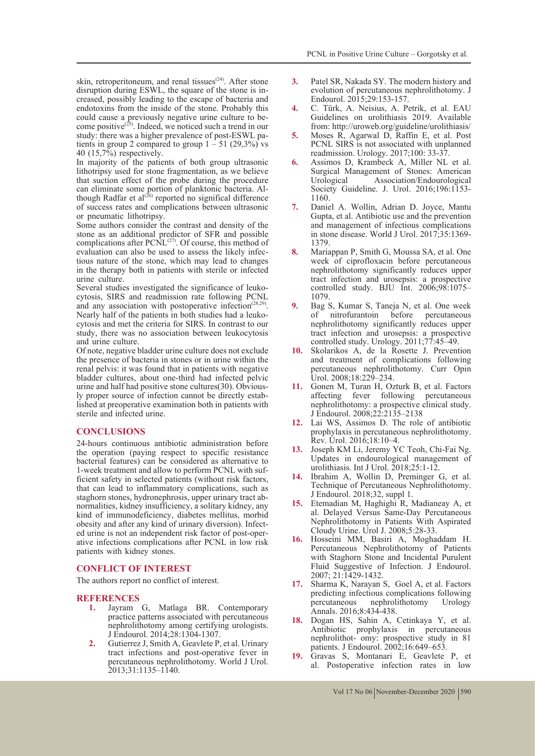skin, retroperitoneum, and renal tissues<sup> $(24)$ </sup>. After stone disruption during ESWL, the square of the stone is increased, possibly leading to the escape of bacteria and endotoxins from the inside of the stone. Probably this could cause a previously negative urine culture to be-<br>come positive<sup>(25)</sup>. Indeed, we noticed such a trend in our<br>study: there was a higher prevalence of post-ESWL patients in group 2 compared to group  $1 - 51$  (29,3%) vs 40 (15,7%) respectively.

In majority of the patients of both group ultrasonic lithotripsy used for stone fragmentation, as we believe that suction effect of the probe during the procedure can eliminate some portion of planktonic bacteria. Al-<br>though Radfar et al<sup>(26)</sup> reported no significal difference of success rates and complications between ultrasonic or pneumatic lithotripsy.

Some authors consider the contrast and density of the stone as an additional predictor of SFR and possible complications after  $PCNL^{(27)}$ . Of course, this method of evaluation can also be used to assess the likely infectious nature of the stone, which may lead to changes in the therapy both in patients with sterile or infected urine culture.

Several studies investigated the significance of leuko- cytosis, SIRS and readmission rate following PCNL and any association with postoperative infection<sup> $(28,29)$ </sup>. Nearly half of the patients in both studies had a leuko- cytosis and met the criteria for SIRS. In contrast to our study, there was no association between leukocytosis and urine culture.

Of note, negative bladder urine culture does not exclude the presence of bacteria in stones or in urine within the renal pelvis: it was found that in patients with negative bladder cultures, about one-third had infected pelvic urine and half had positive stone cultures(30). Obvious- ly proper source of infection cannot be directly estab- lished at preoperative examination both in patients with sterile and infected urine.

## **CONCLUSIONS**

24-hours continuous antibiotic administration before the operation (paying respect to specific resistance bacterial features) can be considered as alternative to 1-week treatment and allow to perform PCNL with suf- ficient safety in selected patients (without risk factors, that can lead to inflammatory complications, such as staghorn stones, hydronephrosis, upper urinary tract ab- normalities, kidney insufficiency, a solitary kidney, any kind of immunodeficiency, diabetes mellitus, morbid obesity and after any kind of urinary diversion). Infect- ed urine is not an independent risk factor of post-oper- ative infections complications after PCNL in low risk patients with kidney stones.

## **CONFLICT OF INTEREST**

The authors report no conflict of interest.

# **REFERENCES**

- **1.** Jayram G, Matlaga BR. Contemporary practice patterns associated with percutaneous nephrolithotomy among certifying urologists. J Endourol. 2014;28:1304-1307.
- **2.** Gutierrez J, Smith A, Geavlete P, et al. Urinary tract infections and post-operative fever in percutaneous nephrolithotomy. World J Urol. 2013;31:1135–1140.
- **3.** Patel SR, Nakada SY. The modern history and evolution of percutaneous nephrolithotomy. J Endourol. 2015;29:153-157.
- **4.** C. Türk, A. Neisius, A. Petrik, et al. EAU Guidelines on urolithiasis 2019. Available from: http://uroweb.org/guideline/urolithiasis/
- **5.** Moses R, Agarwal D, Raffin E, et al. Post PCNL SIRS is not associated with unplanned readmission. Urology. 2017;100: 33-37.
- **6.** Assimos D, Krambeck A, Miller NL et al. Surgical Management of Stones: American Association/Endourological Society Guideline. J. Urol. 2016;196:1153- 1160.
- **7.** Daniel A. Wollin, Adrian D. Joyce, Mantu Gupta, et al. Antibiotic use and the prevention and management of infectious complications in stone disease. World J Urol. 2017;35:1369- 1379.
- **8.** Mariappan P, Smith G, Moussa SA, et al. One week of ciprofloxacin before percutaneous nephrolithotomy significantly reduces upper tract infection and urosepsis: a prospective controlled study. BJU Int.  $2006;98:1075-$ 1079.
- **9.** Bag S, Kumar S, Taneja N, et al. One week before percutaneous nephrolithotomy significantly reduces upper tract infection and urosepsis: a prospective controlled study. Urology. 2011;77:45–49.
- **10.** Skolarikos A, de la Rosette J. Prevention and treatment of complications following percutaneous nephrolithotomy. Curr Opin Urol. 2008;18:229–234.
- **11.** Gonen M, Turan H, Ozturk B, et al. Factors affecting fever following percutaneous nephrolithotomy: a prospective clinical study. J Endourol. 2008;22:2135–2138
- **12.** Lai WS, Assimos D. The role of antibiotic prophylaxis in percutaneous nephrolithotomy. Rev. Urol. 2016;18:10–4.
- **13.** Joseph KM Li, Jeremy YC Teoh, Chi-Fai Ng. Updates in endourological management of urolithiasis. Int J Urol. 2018;25:1-12.
- **14.** Ibrahim A, Wollin D, Preminger G, et al. Technique of Percutaneous Nephrolithotomy. J Endourol. 2018;32, suppl 1.
- **15.** Etemadian M, Haghighi R, Madianeay A, et al. Delayed Versus Same-Day Percutaneous Nephrolithotomy in Patients With Aspirated Cloudy Urine. Urol J. 2008;5:28-33.
- **16.** Hosseini MM, Basiri A, Moghaddam H. Percutaneous Nephrolithotomy of Patients with Staghorn Stone and Incidental Purulent Fluid Suggestive of Infection. J Endourol. 2007; 21:1429-1432.
- **17.** Sharma K, Narayan S, Goel A, et al. Factors predicting infectious complications following<br>percutaneous nephrolithotomy Urology nephrolithotomy Annals. 2016;8:434-438.
- **18.** Dogan HS, Sahin A, Cetinkaya Y, et al. Antibiotic prophylaxis in percutaneous nephrolithot- omy: prospective study in 81 patients. J Endourol. 2002;16:649–653.
- **19.** Gravas S, Montanari E, Geavlete P, et al. Postoperative infection rates in low